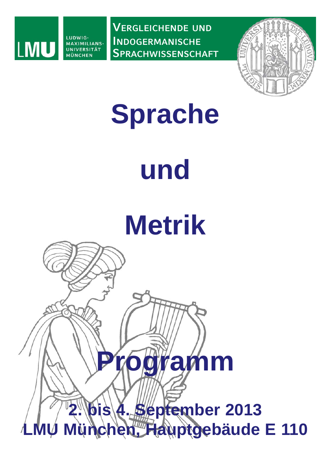

**VERGLEICHENDE UND INDOGERMANISCHE SPRACHWISSENSCHAFT**



## **Sprache**

# **und**

# **Metrik**